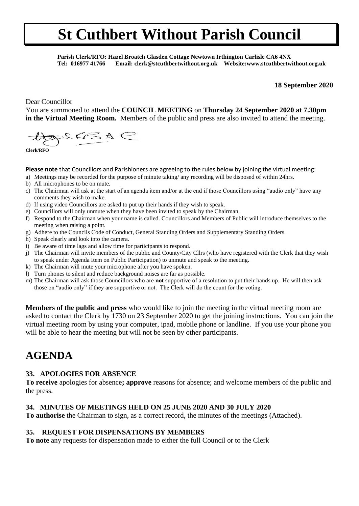**Parish Clerk/RFO: Hazel Broatch Glasden Cottage Newtown Irthington Carlisle CA6 4NX Tel: 016977 41766 Email: clerk@stcuthbertwithout.org.uk Website:www.stcuthbertwithout.org.uk**

#### **18 September 2020**

Dear Councillor

You are summoned to attend the **COUNCIL MEETING** on **Thursday 24 September 2020 at 7.30pm in the Virtual Meeting Room.** Members of the public and press are also invited to attend the meeting.

 $22654$ 

**Clerk/RFO**

**Please note** that Councillors and Parishioners are agreeing to the rules below by joining the virtual meeting:

- a) Meetings may be recorded for the purpose of minute taking/ any recording will be disposed of within 24hrs.
- b) All microphones to be on mute.
- c) The Chairman will ask at the start of an agenda item and/or at the end if those Councillors using "audio only" have any comments they wish to make.
- d) If using video Councillors are asked to put up their hands if they wish to speak.
- e) Councillors will only unmute when they have been invited to speak by the Chairman.
- f) Respond to the Chairman when your name is called. Councillors and Members of Public will introduce themselves to the meeting when raising a point.
- g) Adhere to the Councils Code of Conduct, General Standing Orders and Supplementary Standing Orders
- h) Speak clearly and look into the camera.
- i) Be aware of time lags and allow time for participants to respond.
- j) The Chairman will invite members of the public and County/City Cllrs (who have registered with the Clerk that they wish to speak under Agenda Item on Public Participation) to unmute and speak to the meeting.
- k) The Chairman will mute your microphone after you have spoken.
- l) Turn phones to silent and reduce background noises are far as possible.
- m) The Chairman will ask those Councillors who are **not** supportive of a resolution to put their hands up. He will then ask those on "audio only" if they are supportive or not. The Clerk will do the count for the voting.

**Members of the public and press** who would like to join the meeting in the virtual meeting room are asked to contact the Clerk by 1730 on 23 September 2020 to get the joining instructions. You can join the virtual meeting room by using your computer, ipad, mobile phone or landline. If you use your phone you will be able to hear the meeting but will not be seen by other participants.

# **AGENDA**

#### **33. APOLOGIES FOR ABSENCE**

**To receive** apologies for absence**; approve** reasons for absence; and welcome members of the public and the press.

# **34. MINUTES OF MEETINGS HELD ON 25 JUNE 2020 AND 30 JULY 2020**

**To authorise** the Chairman to sign, as a correct record, the minutes of the meetings (Attached).

#### **35. REQUEST FOR DISPENSATIONS BY MEMBERS**

**To note** any requests for dispensation made to either the full Council or to the Clerk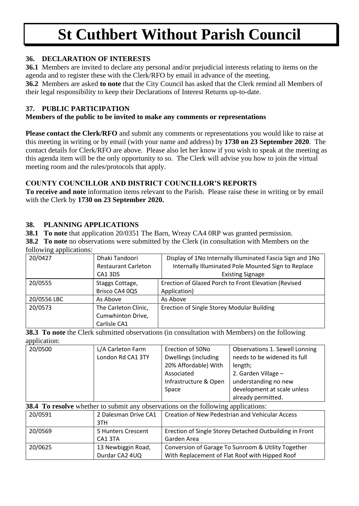# **36. DECLARATION OF INTERESTS**

**36.1** Members are invited to declare any personal and/or prejudicial interests relating to items on the agenda and to register these with the Clerk/RFO by email in advance of the meeting.

**36.2** Members are asked **to note** that the City Council has asked that the Clerk remind all Members of their legal responsibility to keep their Declarations of Interest Returns up-to-date.

#### **37. PUBLIC PARTICIPATION**

### **Members of the public to be invited to make any comments or representations**

**Please contact the Clerk/RFO** and submit any comments or representations you would like to raise at this meeting in writing or by email (with your name and address) by **1730 on 23 September 2020**. The contact details for Clerk/RFO are above. Please also let her know if you wish to speak at the meeting as this agenda item will be the only opportunity to so. The Clerk will advise you how to join the virtual meeting room and the rules/protocols that apply.

# **COUNTY COUNCILLOR AND DISTRICT COUNCILLOR'S REPORTS**

**To receive and note** information items relevant to the Parish. Please raise these in writing or by email with the Clerk by **1730 on 23 September 2020.**

### **38. PLANNING APPLICATIONS**

20/0625 13 Newbiggin Road,

Durdar CA2 4UQ

**38.1 To note** that application 20/0351 The Barn, Wreay CA4 0RP was granted permission.

**38.2 To note** no observations were submitted by the Clerk (in consultation with Members on the following applications:

| 20/0427     | Dhaki Tandoori<br><b>Restaurant Carleton</b><br>CA1 3DS   | Display of 1No Internally Illuminated Fascia Sign and 1No<br>Internally Illuminated Pole Mounted Sign to Replace<br><b>Existing Signage</b> |
|-------------|-----------------------------------------------------------|---------------------------------------------------------------------------------------------------------------------------------------------|
| 20/0555     | Staggs Cottage,<br>Brisco CA4 0QS                         | Erection of Glazed Porch to Front Elevation (Revised<br>Application)                                                                        |
| 20/0556 LBC | As Above                                                  | As Above                                                                                                                                    |
| 20/0573     | The Carleton Clinic,<br>Cumwhinton Drive,<br>Carlisle CA1 | Erection of Single Storey Modular Building                                                                                                  |

**38.3 To note** the Clerk submitted observations (in consultation with Members) on the following application:

| 20/0500                                                                                  | L/A Carleton Farm    | Erection of 50No                                        | Observations 1. Sewell Lonning |  |  |  |  |
|------------------------------------------------------------------------------------------|----------------------|---------------------------------------------------------|--------------------------------|--|--|--|--|
|                                                                                          | London Rd CA1 3TY    | Dwellings (including                                    | needs to be widened its full   |  |  |  |  |
|                                                                                          |                      | 20% Affordable) With                                    | length;                        |  |  |  |  |
|                                                                                          |                      | Associated<br>2. Garden Village -                       |                                |  |  |  |  |
|                                                                                          |                      | Infrastructure & Open                                   | understanding no new           |  |  |  |  |
|                                                                                          |                      | Space                                                   | development at scale unless    |  |  |  |  |
|                                                                                          |                      |                                                         | already permitted.             |  |  |  |  |
| <b>38.4 To resolve</b> whether to submit any observations on the following applications: |                      |                                                         |                                |  |  |  |  |
| 20/0591                                                                                  | 2 Dalesman Drive CA1 | <b>Creation of New Pedestrian and Vehicular Access</b>  |                                |  |  |  |  |
|                                                                                          | 3TH                  |                                                         |                                |  |  |  |  |
| 20/0569                                                                                  | 5 Hunters Crescent   | Erection of Single Storey Detached Outbuilding in Front |                                |  |  |  |  |
|                                                                                          | CA1 3TA              | Garden Area                                             |                                |  |  |  |  |

Conversion of Garage To Sunroom & Utility Together With Replacement of Flat Roof with Hipped Roof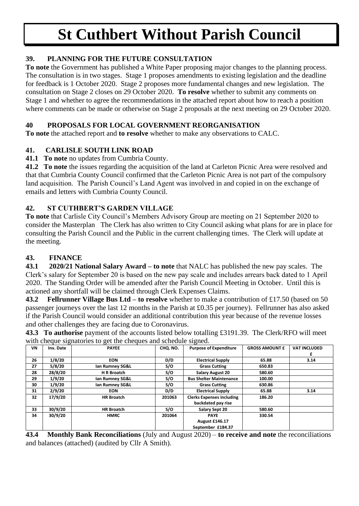# **39. PLANNING FOR THE FUTURE CONSULTATION**

**To note** the Government has published a White Paper proposing major changes to the planning process. The consultation is in two stages. Stage 1 proposes amendments to existing legislation and the deadline for feedback is 1 October 2020. Stage 2 proposes more fundamental changes and new legislation. The consultation on Stage 2 closes on 29 October 2020. **To resolve** whether to submit any comments on Stage 1 and whether to agree the recommendations in the attached report about how to reach a position where comments can be made or otherwise on Stage 2 proposals at the next meeting on 29 October 2020.

# **40 PROPOSALS FOR LOCAL GOVERNMENT REORGANISATION**

**To note** the attached report and **to resolve** whether to make any observations to CALC.

# **41. CARLISLE SOUTH LINK ROAD**

**41.1 To note** no updates from Cumbria County.

**41.2 To note** the issues regarding the acquisition of the land at Carleton Picnic Area were resolved and that that Cumbria County Council confirmed that the Carleton Picnic Area is not part of the compulsory land acquisition. The Parish Council's Land Agent was involved in and copied in on the exchange of emails and letters with Cumbria County Council.

# **42. ST CUTHBERT'S GARDEN VILLAGE**

**To note** that Carlisle City Council's Members Advisory Group are meeting on 21 September 2020 to consider the Masterplan The Clerk has also written to City Council asking what plans for are in place for consulting the Parish Council and the Public in the current challenging times. The Clerk will update at the meeting.

# **43. FINANCE**

**43.1 2020/21 National Salary Award – to note** that NALC has published the new pay scales. The Clerk's salary for September 20 is based on the new pay scale and includes arrears back dated to 1 April 2020. The Standing Order will be amended after the Parish Council Meeting in October. Until this is actioned any shortfall will be claimed through Clerk Expenses Claims.

**43.2 Fellrunner Village Bus Ltd – to resolve** whether to make a contribution of £17.50 (based on 50 passenger journeys over the last 12 months in the Parish at £0.35 per journey). Fellrunner has also asked if the Parish Council would consider an additional contribution this year because of the revenue losses and other challenges they are facing due to Coronavirus.

**43.3 To authorise** payment of the accounts listed below totalling £3191.39. The Clerk/RFO will meet with cheque signatories to get the cheques and schedule signed.

| VN | Inv. Date | when cheque signatories to get the eneques and schedare signed.<br><b>PAYEE</b> | CHO. NO. | <b>Purpose of Expenditure</b>    | <b>GROSS AMOUNT £</b> | <b>VAT INCLUDED</b> |
|----|-----------|---------------------------------------------------------------------------------|----------|----------------------------------|-----------------------|---------------------|
|    |           |                                                                                 |          |                                  |                       | £                   |
| 26 | 1/8/20    | <b>EON</b>                                                                      | D/D      | <b>Electrical Supply</b>         | 65.88                 | 3.14                |
| 27 | 5/8/20    | lan Rumney SG&L                                                                 | S/O      | <b>Grass Cutting</b>             | 650.83                |                     |
| 28 | 28/8/20   | <b>HR Broatch</b>                                                               | S/O      | <b>Salary August 20</b>          | 580.60                |                     |
| 29 | 1/9/20    | lan Rumney SG&L                                                                 | S/O      | <b>Bus Shelter Maintenance</b>   | 100.00                |                     |
| 30 | 1/9/20    | lan Rumney SG&L                                                                 | S/O      | <b>Grass Cutting</b>             | 630.86                |                     |
| 31 | 2/9/20    | <b>EON</b>                                                                      | D/D      | <b>Electrical Supply</b>         | 65.88                 | 3.14                |
| 32 | 17/9/20   | <b>HR Broatch</b>                                                               | 201063   | <b>Clerks Expenses including</b> | 186.20                |                     |
|    |           |                                                                                 |          | backdated pay rise               |                       |                     |
| 33 | 30/9/20   | <b>HR Broatch</b>                                                               | S/O      | Salary Sept 20                   | 580.60                |                     |
| 34 | 30/9/20   | <b>HMRC</b>                                                                     | 201064   | <b>PAYE</b>                      | 330.54                |                     |
|    |           |                                                                                 |          | <b>August £146.17</b>            |                       |                     |
|    |           |                                                                                 |          | September £184.37                |                       |                     |

**43.4 Monthly Bank Reconciliations** (July and August 2020) – **to receive and note** the reconciliations and balances (attached) (audited by Cllr A Smith).